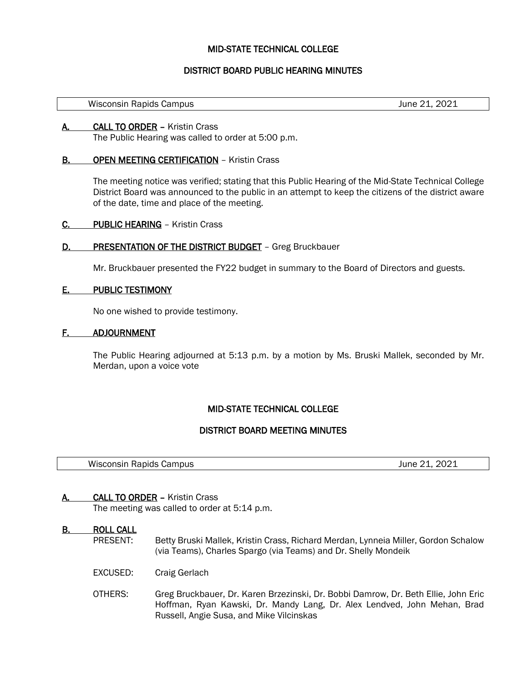## MID-STATE TECHNICAL COLLEGE

# DISTRICT BOARD PUBLIC HEARING MINUTES

Wisconsin Rapids Campus **Victor** 2021 **June 21, 2021** 

l,

A. CALL TO ORDER – Kristin Crass The Public Hearing was called to order at 5:00 p.m.

## **B. OPEN MEETING CERTIFICATION - Kristin Crass**

The meeting notice was verified; stating that this Public Hearing of the Mid-State Technical College District Board was announced to the public in an attempt to keep the citizens of the district aware of the date, time and place of the meeting.

- C. PUBLIC HEARING Kristin Crass
- D. PRESENTATION OF THE DISTRICT BUDGET Greg Bruckbauer

Mr. Bruckbauer presented the FY22 budget in summary to the Board of Directors and guests.

#### E. PUBLIC TESTIMONY

No one wished to provide testimony.

#### F. ADJOURNMENT

The Public Hearing adjourned at 5:13 p.m. by a motion by Ms. Bruski Mallek, seconded by Mr. Merdan, upon a voice vote

# MID-STATE TECHNICAL COLLEGE

#### DISTRICT BOARD MEETING MINUTES

Wisconsin Rapids Campus **Microsoft Campus** June 21, 2021

#### A. CALL TO ORDER – Kristin Crass

The meeting was called to order at 5:14 p.m.

# **B.** ROLL CALL<br>PRESENT:

l,

- Betty Bruski Mallek, Kristin Crass, Richard Merdan, Lynneia Miller, Gordon Schalow (via Teams), Charles Spargo (via Teams) and Dr. Shelly Mondeik
- EXCUSED: Craig Gerlach
- OTHERS: Greg Bruckbauer, Dr. Karen Brzezinski, Dr. Bobbi Damrow, Dr. Beth Ellie, John Eric Hoffman, Ryan Kawski, Dr. Mandy Lang, Dr. Alex Lendved, John Mehan, Brad Russell, Angie Susa, and Mike Vilcinskas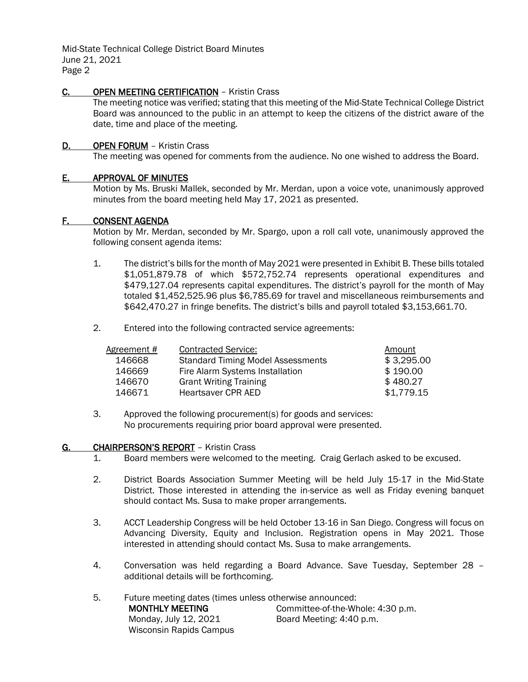## C. OPEN MEETING CERTIFICATION - Kristin Crass

The meeting notice was verified; stating that this meeting of the Mid-State Technical College District Board was announced to the public in an attempt to keep the citizens of the district aware of the date, time and place of the meeting.

## D. OPEN FORUM - Kristin Crass

The meeting was opened for comments from the audience. No one wished to address the Board.

#### E. APPROVAL OF MINUTES

Motion by Ms. Bruski Mallek, seconded by Mr. Merdan, upon a voice vote, unanimously approved minutes from the board meeting held May 17, 2021 as presented.

#### F. CONSENT AGENDA

Motion by Mr. Merdan, seconded by Mr. Spargo, upon a roll call vote, unanimously approved the following consent agenda items:

- 1. The district's bills for the month of May 2021 were presented in Exhibit B. These bills totaled \$1,051,879.78 of which \$572,752.74 represents operational expenditures and \$479,127.04 represents capital expenditures. The district's payroll for the month of May totaled \$1,452,525.96 plus \$6,785.69 for travel and miscellaneous reimbursements and \$642,470.27 in fringe benefits. The district's bills and payroll totaled \$3,153,661.70.
- 2. Entered into the following contracted service agreements:

| <b>Contracted Service:</b>               | Amount     |
|------------------------------------------|------------|
| <b>Standard Timing Model Assessments</b> | \$3,295.00 |
| Fire Alarm Systems Installation          | \$190.00   |
| <b>Grant Writing Training</b>            | \$480.27   |
| Heartsaver CPR AED                       | \$1,779.15 |
|                                          |            |

3. Approved the following procurement(s) for goods and services: No procurements requiring prior board approval were presented.

#### G. CHAIRPERSON'S REPORT – Kristin Crass

- 1. Board members were welcomed to the meeting. Craig Gerlach asked to be excused.
- 2. District Boards Association Summer Meeting will be held July 15-17 in the Mid-State District. Those interested in attending the in-service as well as Friday evening banquet should contact Ms. Susa to make proper arrangements.
- 3. ACCT Leadership Congress will be held October 13-16 in San Diego. Congress will focus on Advancing Diversity, Equity and Inclusion. Registration opens in May 2021. Those interested in attending should contact Ms. Susa to make arrangements.
- 4. Conversation was held regarding a Board Advance. Save Tuesday, September 28 additional details will be forthcoming.
- 5. Future meeting dates (times unless otherwise announced: MONTHLY MEETING Monday, July 12, 2021 Wisconsin Rapids Campus Committee-of-the-Whole: 4:30 p.m. Board Meeting: 4:40 p.m.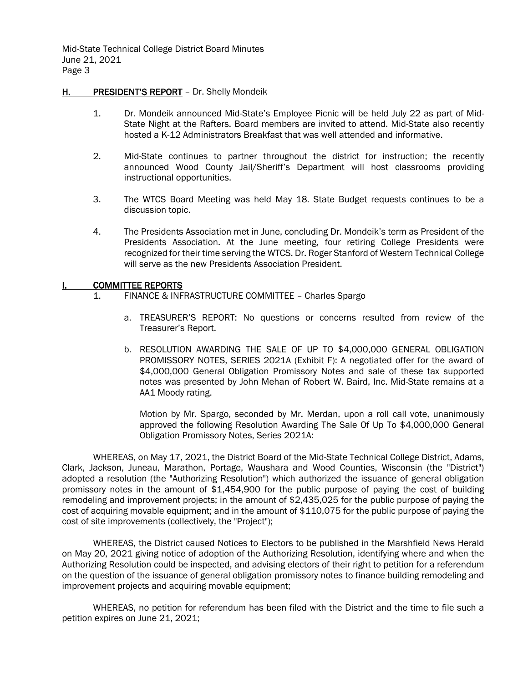#### H. PRESIDENT'S REPORT - Dr. Shelly Mondeik

- 1. Dr. Mondeik announced Mid-State's Employee Picnic will be held July 22 as part of Mid-State Night at the Rafters. Board members are invited to attend. Mid-State also recently hosted a K-12 Administrators Breakfast that was well attended and informative.
- 2. Mid-State continues to partner throughout the district for instruction; the recently announced Wood County Jail/Sheriff's Department will host classrooms providing instructional opportunities.
- 3. The WTCS Board Meeting was held May 18. State Budget requests continues to be a discussion topic.
- 4. The Presidents Association met in June, concluding Dr. Mondeik's term as President of the Presidents Association. At the June meeting, four retiring College Presidents were recognized for their time serving the WTCS. Dr. Roger Stanford of Western Technical College will serve as the new Presidents Association President.

#### I. COMMITTEE REPORTS

- 1. FINANCE & INFRASTRUCTURE COMMITTEE Charles Spargo
	- a. TREASURER'S REPORT: No questions or concerns resulted from review of the Treasurer's Report.
	- b. RESOLUTION AWARDING THE SALE OF UP TO \$4,000,000 GENERAL OBLIGATION PROMISSORY NOTES, SERIES 2021A (Exhibit F): A negotiated offer for the award of \$4,000,000 General Obligation Promissory Notes and sale of these tax supported notes was presented by John Mehan of Robert W. Baird, Inc. Mid-State remains at a AA1 Moody rating.

Motion by Mr. Spargo, seconded by Mr. Merdan, upon a roll call vote, unanimously approved the following Resolution Awarding The Sale Of Up To \$4,000,000 General Obligation Promissory Notes, Series 2021A:

WHEREAS, on May 17, 2021, the District Board of the Mid-State Technical College District, Adams, Clark, Jackson, Juneau, Marathon, Portage, Waushara and Wood Counties, Wisconsin (the "District") adopted a resolution (the "Authorizing Resolution") which authorized the issuance of general obligation promissory notes in the amount of \$1,454,900 for the public purpose of paying the cost of building remodeling and improvement projects; in the amount of \$2,435,025 for the public purpose of paying the cost of acquiring movable equipment; and in the amount of \$110,075 for the public purpose of paying the cost of site improvements (collectively, the "Project");

WHEREAS, the District caused Notices to Electors to be published in the Marshfield News Herald on May 20, 2021 giving notice of adoption of the Authorizing Resolution, identifying where and when the Authorizing Resolution could be inspected, and advising electors of their right to petition for a referendum on the question of the issuance of general obligation promissory notes to finance building remodeling and improvement projects and acquiring movable equipment;

WHEREAS, no petition for referendum has been filed with the District and the time to file such a petition expires on June 21, 2021;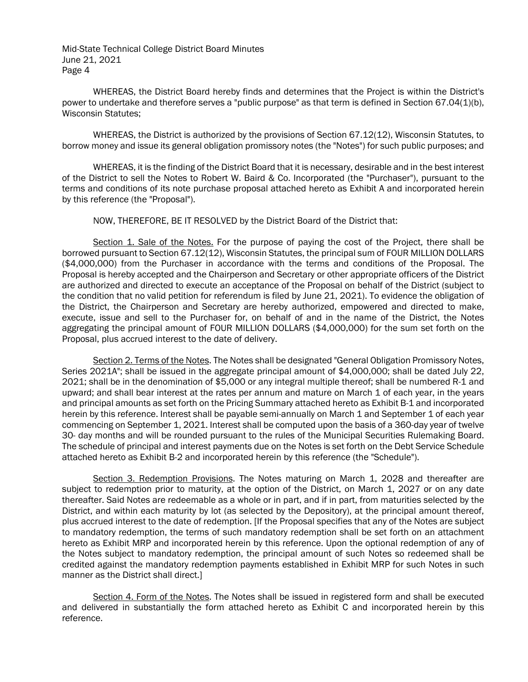WHEREAS, the District Board hereby finds and determines that the Project is within the District's power to undertake and therefore serves a "public purpose" as that term is defined in Section 67.04(1)(b), Wisconsin Statutes;

WHEREAS, the District is authorized by the provisions of Section 67.12(12), Wisconsin Statutes, to borrow money and issue its general obligation promissory notes (the "Notes") for such public purposes; and

WHEREAS, it is the finding of the District Board that it is necessary, desirable and in the best interest of the District to sell the Notes to Robert W. Baird & Co. Incorporated (the "Purchaser"), pursuant to the terms and conditions of its note purchase proposal attached hereto as Exhibit A and incorporated herein by this reference (the "Proposal").

NOW, THEREFORE, BE IT RESOLVED by the District Board of the District that:

Section 1. Sale of the Notes. For the purpose of paying the cost of the Project, there shall be borrowed pursuant to Section 67.12(12), Wisconsin Statutes, the principal sum of FOUR MILLION DOLLARS (\$4,000,000) from the Purchaser in accordance with the terms and conditions of the Proposal. The Proposal is hereby accepted and the Chairperson and Secretary or other appropriate officers of the District are authorized and directed to execute an acceptance of the Proposal on behalf of the District (subject to the condition that no valid petition for referendum is filed by June 21, 2021). To evidence the obligation of the District, the Chairperson and Secretary are hereby authorized, empowered and directed to make, execute, issue and sell to the Purchaser for, on behalf of and in the name of the District, the Notes aggregating the principal amount of FOUR MILLION DOLLARS (\$4,000,000) for the sum set forth on the Proposal, plus accrued interest to the date of delivery.

Section 2. Terms of the Notes. The Notes shall be designated "General Obligation Promissory Notes, Series 2021A"; shall be issued in the aggregate principal amount of \$4,000,000; shall be dated July 22, 2021; shall be in the denomination of \$5,000 or any integral multiple thereof; shall be numbered R-1 and upward; and shall bear interest at the rates per annum and mature on March 1 of each year, in the years and principal amounts as set forth on the Pricing Summary attached hereto as Exhibit B-1 and incorporated herein by this reference. Interest shall be payable semi-annually on March 1 and September 1 of each year commencing on September 1, 2021. Interest shall be computed upon the basis of a 360-day year of twelve 30- day months and will be rounded pursuant to the rules of the Municipal Securities Rulemaking Board. The schedule of principal and interest payments due on the Notes is set forth on the Debt Service Schedule attached hereto as Exhibit B-2 and incorporated herein by this reference (the "Schedule").

Section 3. Redemption Provisions. The Notes maturing on March 1, 2028 and thereafter are subject to redemption prior to maturity, at the option of the District, on March 1, 2027 or on any date thereafter. Said Notes are redeemable as a whole or in part, and if in part, from maturities selected by the District, and within each maturity by lot (as selected by the Depository), at the principal amount thereof, plus accrued interest to the date of redemption. [If the Proposal specifies that any of the Notes are subject to mandatory redemption, the terms of such mandatory redemption shall be set forth on an attachment hereto as Exhibit MRP and incorporated herein by this reference. Upon the optional redemption of any of the Notes subject to mandatory redemption, the principal amount of such Notes so redeemed shall be credited against the mandatory redemption payments established in Exhibit MRP for such Notes in such manner as the District shall direct.]

Section 4. Form of the Notes. The Notes shall be issued in registered form and shall be executed and delivered in substantially the form attached hereto as Exhibit C and incorporated herein by this reference.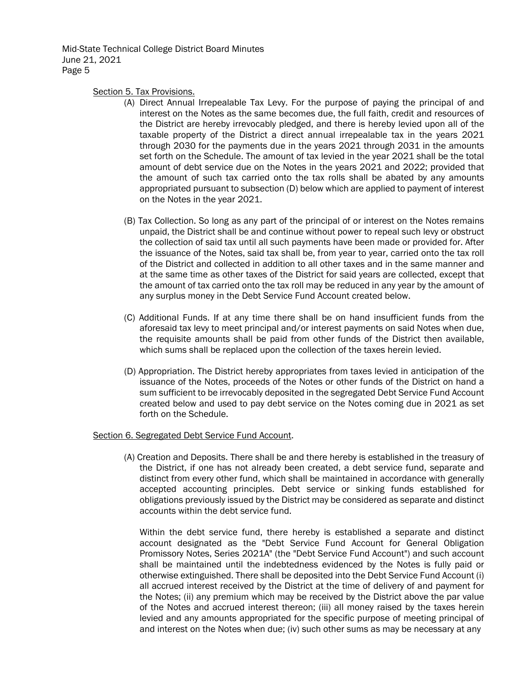Section 5. Tax Provisions.

- (A) Direct Annual Irrepealable Tax Levy. For the purpose of paying the principal of and interest on the Notes as the same becomes due, the full faith, credit and resources of the District are hereby irrevocably pledged, and there is hereby levied upon all of the taxable property of the District a direct annual irrepealable tax in the years 2021 through 2030 for the payments due in the years 2021 through 2031 in the amounts set forth on the Schedule. The amount of tax levied in the year 2021 shall be the total amount of debt service due on the Notes in the years 2021 and 2022; provided that the amount of such tax carried onto the tax rolls shall be abated by any amounts appropriated pursuant to subsection (D) below which are applied to payment of interest on the Notes in the year 2021.
- (B) Tax Collection. So long as any part of the principal of or interest on the Notes remains unpaid, the District shall be and continue without power to repeal such levy or obstruct the collection of said tax until all such payments have been made or provided for. After the issuance of the Notes, said tax shall be, from year to year, carried onto the tax roll of the District and collected in addition to all other taxes and in the same manner and at the same time as other taxes of the District for said years are collected, except that the amount of tax carried onto the tax roll may be reduced in any year by the amount of any surplus money in the Debt Service Fund Account created below.
- (C) Additional Funds. If at any time there shall be on hand insufficient funds from the aforesaid tax levy to meet principal and/or interest payments on said Notes when due, the requisite amounts shall be paid from other funds of the District then available, which sums shall be replaced upon the collection of the taxes herein levied.
- (D) Appropriation. The District hereby appropriates from taxes levied in anticipation of the issuance of the Notes, proceeds of the Notes or other funds of the District on hand a sum sufficient to be irrevocably deposited in the segregated Debt Service Fund Account created below and used to pay debt service on the Notes coming due in 2021 as set forth on the Schedule.

#### Section 6. Segregated Debt Service Fund Account.

(A) Creation and Deposits. There shall be and there hereby is established in the treasury of the District, if one has not already been created, a debt service fund, separate and distinct from every other fund, which shall be maintained in accordance with generally accepted accounting principles. Debt service or sinking funds established for obligations previously issued by the District may be considered as separate and distinct accounts within the debt service fund.

Within the debt service fund, there hereby is established a separate and distinct account designated as the "Debt Service Fund Account for General Obligation Promissory Notes, Series 2021A" (the "Debt Service Fund Account") and such account shall be maintained until the indebtedness evidenced by the Notes is fully paid or otherwise extinguished. There shall be deposited into the Debt Service Fund Account (i) all accrued interest received by the District at the time of delivery of and payment for the Notes; (ii) any premium which may be received by the District above the par value of the Notes and accrued interest thereon; (iii) all money raised by the taxes herein levied and any amounts appropriated for the specific purpose of meeting principal of and interest on the Notes when due; (iv) such other sums as may be necessary at any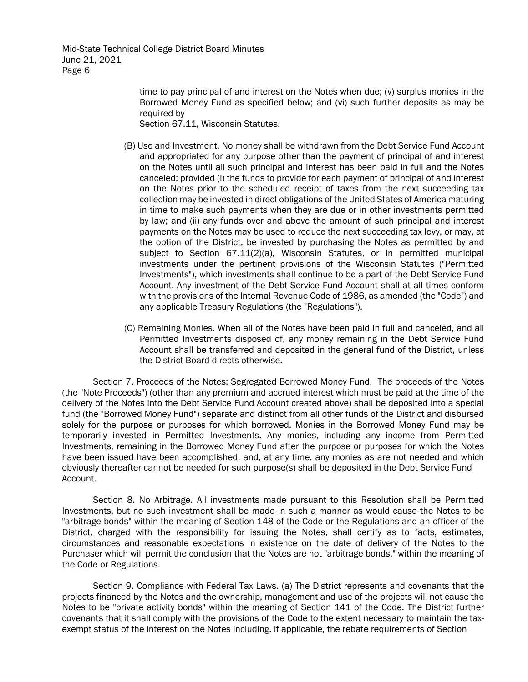> time to pay principal of and interest on the Notes when due; (v) surplus monies in the Borrowed Money Fund as specified below; and (vi) such further deposits as may be required by

Section 67.11, Wisconsin Statutes.

- (B) Use and Investment. No money shall be withdrawn from the Debt Service Fund Account and appropriated for any purpose other than the payment of principal of and interest on the Notes until all such principal and interest has been paid in full and the Notes canceled; provided (i) the funds to provide for each payment of principal of and interest on the Notes prior to the scheduled receipt of taxes from the next succeeding tax collection may be invested in direct obligations of the United States of America maturing in time to make such payments when they are due or in other investments permitted by law; and (ii) any funds over and above the amount of such principal and interest payments on the Notes may be used to reduce the next succeeding tax levy, or may, at the option of the District, be invested by purchasing the Notes as permitted by and subject to Section 67.11(2)(a), Wisconsin Statutes, or in permitted municipal investments under the pertinent provisions of the Wisconsin Statutes ("Permitted Investments"), which investments shall continue to be a part of the Debt Service Fund Account. Any investment of the Debt Service Fund Account shall at all times conform with the provisions of the Internal Revenue Code of 1986, as amended (the "Code") and any applicable Treasury Regulations (the "Regulations").
- (C) Remaining Monies. When all of the Notes have been paid in full and canceled, and all Permitted Investments disposed of, any money remaining in the Debt Service Fund Account shall be transferred and deposited in the general fund of the District, unless the District Board directs otherwise.

Section 7. Proceeds of the Notes; Segregated Borrowed Money Fund. The proceeds of the Notes (the "Note Proceeds") (other than any premium and accrued interest which must be paid at the time of the delivery of the Notes into the Debt Service Fund Account created above) shall be deposited into a special fund (the "Borrowed Money Fund") separate and distinct from all other funds of the District and disbursed solely for the purpose or purposes for which borrowed. Monies in the Borrowed Money Fund may be temporarily invested in Permitted Investments. Any monies, including any income from Permitted Investments, remaining in the Borrowed Money Fund after the purpose or purposes for which the Notes have been issued have been accomplished, and, at any time, any monies as are not needed and which obviously thereafter cannot be needed for such purpose(s) shall be deposited in the Debt Service Fund Account.

Section 8. No Arbitrage. All investments made pursuant to this Resolution shall be Permitted Investments, but no such investment shall be made in such a manner as would cause the Notes to be "arbitrage bonds" within the meaning of Section 148 of the Code or the Regulations and an officer of the District, charged with the responsibility for issuing the Notes, shall certify as to facts, estimates, circumstances and reasonable expectations in existence on the date of delivery of the Notes to the Purchaser which will permit the conclusion that the Notes are not "arbitrage bonds," within the meaning of the Code or Regulations.

Section 9. Compliance with Federal Tax Laws. (a) The District represents and covenants that the projects financed by the Notes and the ownership, management and use of the projects will not cause the Notes to be "private activity bonds" within the meaning of Section 141 of the Code. The District further covenants that it shall comply with the provisions of the Code to the extent necessary to maintain the taxexempt status of the interest on the Notes including, if applicable, the rebate requirements of Section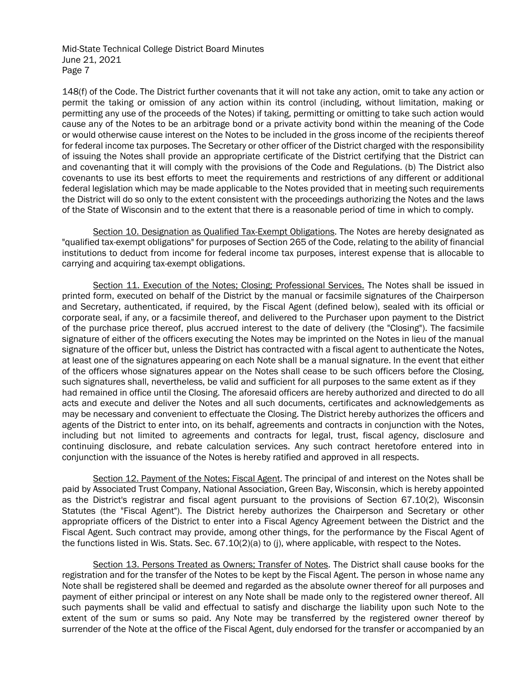148(f) of the Code. The District further covenants that it will not take any action, omit to take any action or permit the taking or omission of any action within its control (including, without limitation, making or permitting any use of the proceeds of the Notes) if taking, permitting or omitting to take such action would cause any of the Notes to be an arbitrage bond or a private activity bond within the meaning of the Code or would otherwise cause interest on the Notes to be included in the gross income of the recipients thereof for federal income tax purposes. The Secretary or other officer of the District charged with the responsibility of issuing the Notes shall provide an appropriate certificate of the District certifying that the District can and covenanting that it will comply with the provisions of the Code and Regulations. (b) The District also covenants to use its best efforts to meet the requirements and restrictions of any different or additional federal legislation which may be made applicable to the Notes provided that in meeting such requirements the District will do so only to the extent consistent with the proceedings authorizing the Notes and the laws of the State of Wisconsin and to the extent that there is a reasonable period of time in which to comply.

Section 10. Designation as Qualified Tax-Exempt Obligations. The Notes are hereby designated as "qualified tax-exempt obligations" for purposes of Section 265 of the Code, relating to the ability of financial institutions to deduct from income for federal income tax purposes, interest expense that is allocable to carrying and acquiring tax-exempt obligations.

Section 11. Execution of the Notes; Closing; Professional Services. The Notes shall be issued in printed form, executed on behalf of the District by the manual or facsimile signatures of the Chairperson and Secretary, authenticated, if required, by the Fiscal Agent (defined below), sealed with its official or corporate seal, if any, or a facsimile thereof, and delivered to the Purchaser upon payment to the District of the purchase price thereof, plus accrued interest to the date of delivery (the "Closing"). The facsimile signature of either of the officers executing the Notes may be imprinted on the Notes in lieu of the manual signature of the officer but, unless the District has contracted with a fiscal agent to authenticate the Notes, at least one of the signatures appearing on each Note shall be a manual signature. In the event that either of the officers whose signatures appear on the Notes shall cease to be such officers before the Closing, such signatures shall, nevertheless, be valid and sufficient for all purposes to the same extent as if they had remained in office until the Closing. The aforesaid officers are hereby authorized and directed to do all acts and execute and deliver the Notes and all such documents, certificates and acknowledgements as may be necessary and convenient to effectuate the Closing. The District hereby authorizes the officers and agents of the District to enter into, on its behalf, agreements and contracts in conjunction with the Notes, including but not limited to agreements and contracts for legal, trust, fiscal agency, disclosure and continuing disclosure, and rebate calculation services. Any such contract heretofore entered into in conjunction with the issuance of the Notes is hereby ratified and approved in all respects.

Section 12. Payment of the Notes; Fiscal Agent. The principal of and interest on the Notes shall be paid by Associated Trust Company, National Association, Green Bay, Wisconsin, which is hereby appointed as the District's registrar and fiscal agent pursuant to the provisions of Section 67.10(2), Wisconsin Statutes (the "Fiscal Agent"). The District hereby authorizes the Chairperson and Secretary or other appropriate officers of the District to enter into a Fiscal Agency Agreement between the District and the Fiscal Agent. Such contract may provide, among other things, for the performance by the Fiscal Agent of the functions listed in Wis. Stats. Sec. 67.10(2)(a) to (j), where applicable, with respect to the Notes.

Section 13. Persons Treated as Owners; Transfer of Notes. The District shall cause books for the registration and for the transfer of the Notes to be kept by the Fiscal Agent. The person in whose name any Note shall be registered shall be deemed and regarded as the absolute owner thereof for all purposes and payment of either principal or interest on any Note shall be made only to the registered owner thereof. All such payments shall be valid and effectual to satisfy and discharge the liability upon such Note to the extent of the sum or sums so paid. Any Note may be transferred by the registered owner thereof by surrender of the Note at the office of the Fiscal Agent, duly endorsed for the transfer or accompanied by an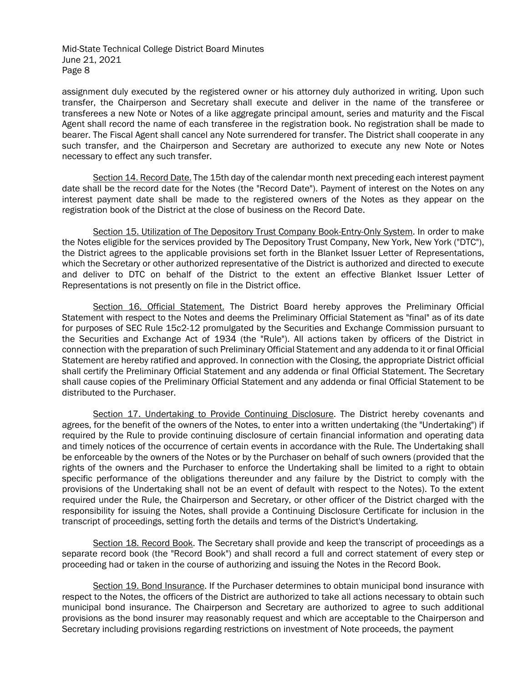assignment duly executed by the registered owner or his attorney duly authorized in writing. Upon such transfer, the Chairperson and Secretary shall execute and deliver in the name of the transferee or transferees a new Note or Notes of a like aggregate principal amount, series and maturity and the Fiscal Agent shall record the name of each transferee in the registration book. No registration shall be made to bearer. The Fiscal Agent shall cancel any Note surrendered for transfer. The District shall cooperate in any such transfer, and the Chairperson and Secretary are authorized to execute any new Note or Notes necessary to effect any such transfer.

Section 14. Record Date. The 15th day of the calendar month next preceding each interest payment date shall be the record date for the Notes (the "Record Date"). Payment of interest on the Notes on any interest payment date shall be made to the registered owners of the Notes as they appear on the registration book of the District at the close of business on the Record Date.

Section 15. Utilization of The Depository Trust Company Book-Entry-Only System. In order to make the Notes eligible for the services provided by The Depository Trust Company, New York, New York ("DTC"), the District agrees to the applicable provisions set forth in the Blanket Issuer Letter of Representations, which the Secretary or other authorized representative of the District is authorized and directed to execute and deliver to DTC on behalf of the District to the extent an effective Blanket Issuer Letter of Representations is not presently on file in the District office.

Section 16. Official Statement. The District Board hereby approves the Preliminary Official Statement with respect to the Notes and deems the Preliminary Official Statement as "final" as of its date for purposes of SEC Rule 15c2-12 promulgated by the Securities and Exchange Commission pursuant to the Securities and Exchange Act of 1934 (the "Rule"). All actions taken by officers of the District in connection with the preparation of such Preliminary Official Statement and any addenda to it or final Official Statement are hereby ratified and approved. In connection with the Closing, the appropriate District official shall certify the Preliminary Official Statement and any addenda or final Official Statement. The Secretary shall cause copies of the Preliminary Official Statement and any addenda or final Official Statement to be distributed to the Purchaser.

Section 17. Undertaking to Provide Continuing Disclosure. The District hereby covenants and agrees, for the benefit of the owners of the Notes, to enter into a written undertaking (the "Undertaking") if required by the Rule to provide continuing disclosure of certain financial information and operating data and timely notices of the occurrence of certain events in accordance with the Rule. The Undertaking shall be enforceable by the owners of the Notes or by the Purchaser on behalf of such owners (provided that the rights of the owners and the Purchaser to enforce the Undertaking shall be limited to a right to obtain specific performance of the obligations thereunder and any failure by the District to comply with the provisions of the Undertaking shall not be an event of default with respect to the Notes). To the extent required under the Rule, the Chairperson and Secretary, or other officer of the District charged with the responsibility for issuing the Notes, shall provide a Continuing Disclosure Certificate for inclusion in the transcript of proceedings, setting forth the details and terms of the District's Undertaking.

Section 18. Record Book. The Secretary shall provide and keep the transcript of proceedings as a separate record book (the "Record Book") and shall record a full and correct statement of every step or proceeding had or taken in the course of authorizing and issuing the Notes in the Record Book.

Section 19. Bond Insurance. If the Purchaser determines to obtain municipal bond insurance with respect to the Notes, the officers of the District are authorized to take all actions necessary to obtain such municipal bond insurance. The Chairperson and Secretary are authorized to agree to such additional provisions as the bond insurer may reasonably request and which are acceptable to the Chairperson and Secretary including provisions regarding restrictions on investment of Note proceeds, the payment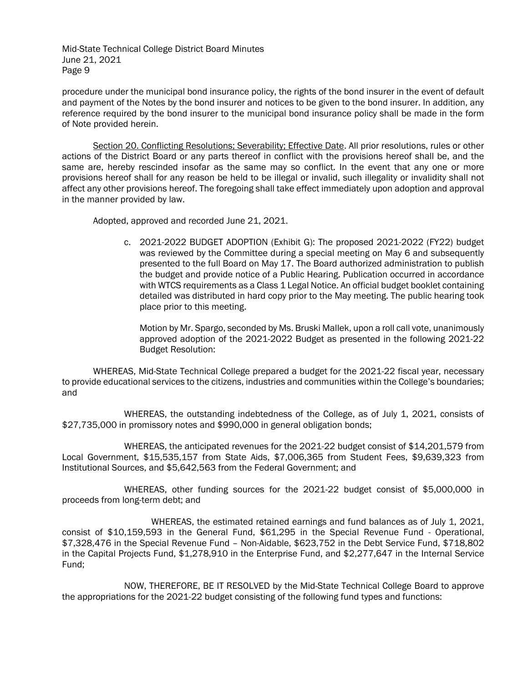procedure under the municipal bond insurance policy, the rights of the bond insurer in the event of default and payment of the Notes by the bond insurer and notices to be given to the bond insurer. In addition, any reference required by the bond insurer to the municipal bond insurance policy shall be made in the form of Note provided herein.

Section 20. Conflicting Resolutions; Severability; Effective Date. All prior resolutions, rules or other actions of the District Board or any parts thereof in conflict with the provisions hereof shall be, and the same are, hereby rescinded insofar as the same may so conflict. In the event that any one or more provisions hereof shall for any reason be held to be illegal or invalid, such illegality or invalidity shall not affect any other provisions hereof. The foregoing shall take effect immediately upon adoption and approval in the manner provided by law.

Adopted, approved and recorded June 21, 2021.

c. 2021-2022 BUDGET ADOPTION (Exhibit G): The proposed 2021-2022 (FY22) budget was reviewed by the Committee during a special meeting on May 6 and subsequently presented to the full Board on May 17. The Board authorized administration to publish the budget and provide notice of a Public Hearing. Publication occurred in accordance with WTCS requirements as a Class 1 Legal Notice. An official budget booklet containing detailed was distributed in hard copy prior to the May meeting. The public hearing took place prior to this meeting.

Motion by Mr. Spargo, seconded by Ms. Bruski Mallek, upon a roll call vote, unanimously approved adoption of the 2021-2022 Budget as presented in the following 2021-22 Budget Resolution:

WHEREAS, Mid-State Technical College prepared a budget for the 2021-22 fiscal year, necessary to provide educational services to the citizens, industries and communities within the College's boundaries; and

WHEREAS, the outstanding indebtedness of the College, as of July 1, 2021, consists of \$27,735,000 in promissory notes and \$990,000 in general obligation bonds;

WHEREAS, the anticipated revenues for the 2021-22 budget consist of \$14,201,579 from Local Government, \$15,535,157 from State Aids, \$7,006,365 from Student Fees, \$9,639,323 from Institutional Sources, and \$5,642,563 from the Federal Government; and

WHEREAS, other funding sources for the 2021-22 budget consist of \$5,000,000 in proceeds from long-term debt; and

WHEREAS, the estimated retained earnings and fund balances as of July 1, 2021, consist of \$10,159,593 in the General Fund, \$61,295 in the Special Revenue Fund - Operational, \$7,328,476 in the Special Revenue Fund – Non-Aidable, \$623,752 in the Debt Service Fund, \$718,802 in the Capital Projects Fund, \$1,278,910 in the Enterprise Fund, and \$2,277,647 in the Internal Service Fund;

NOW, THEREFORE, BE IT RESOLVED by the Mid-State Technical College Board to approve the appropriations for the 2021-22 budget consisting of the following fund types and functions: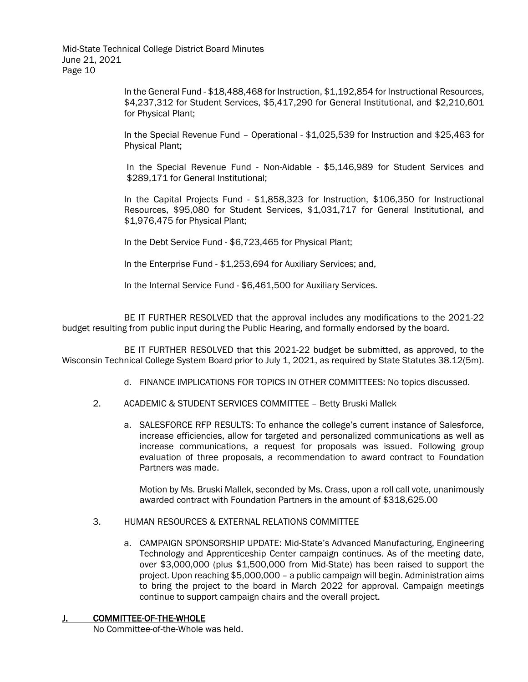> In the General Fund - \$18,488,468 for Instruction, \$1,192,854 for Instructional Resources, \$4,237,312 for Student Services, \$5,417,290 for General Institutional, and \$2,210,601 for Physical Plant;

> In the Special Revenue Fund – Operational - \$1,025,539 for Instruction and \$25,463 for Physical Plant;

> In the Special Revenue Fund - Non-Aidable - \$5,146,989 for Student Services and \$289,171 for General Institutional;

> In the Capital Projects Fund - \$1,858,323 for Instruction, \$106,350 for Instructional Resources, \$95,080 for Student Services, \$1,031,717 for General Institutional, and \$1,976,475 for Physical Plant;

In the Debt Service Fund - \$6,723,465 for Physical Plant;

In the Enterprise Fund - \$1,253,694 for Auxiliary Services; and,

In the Internal Service Fund - \$6,461,500 for Auxiliary Services.

BE IT FURTHER RESOLVED that the approval includes any modifications to the 2021-22 budget resulting from public input during the Public Hearing, and formally endorsed by the board.

BE IT FURTHER RESOLVED that this 2021-22 budget be submitted, as approved, to the Wisconsin Technical College System Board prior to July 1, 2021, as required by State Statutes 38.12(5m).

- d. FINANCE IMPLICATIONS FOR TOPICS IN OTHER COMMITTEES: No topics discussed.
- 2. ACADEMIC & STUDENT SERVICES COMMITTEE Betty Bruski Mallek
	- a. SALESFORCE RFP RESULTS: To enhance the college's current instance of Salesforce, increase efficiencies, allow for targeted and personalized communications as well as increase communications, a request for proposals was issued. Following group evaluation of three proposals, a recommendation to award contract to Foundation Partners was made.

Motion by Ms. Bruski Mallek, seconded by Ms. Crass, upon a roll call vote, unanimously awarded contract with Foundation Partners in the amount of \$318,625.00

#### 3. HUMAN RESOURCES & EXTERNAL RELATIONS COMMITTEE

a. CAMPAIGN SPONSORSHIP UPDATE: Mid-State's Advanced Manufacturing, Engineering Technology and Apprenticeship Center campaign continues. As of the meeting date, over \$3,000,000 (plus \$1,500,000 from Mid-State) has been raised to support the project. Upon reaching \$5,000,000 – a public campaign will begin. Administration aims to bring the project to the board in March 2022 for approval. Campaign meetings continue to support campaign chairs and the overall project.

#### J. COMMITTEE-OF-THE-WHOLE

No Committee-of-the-Whole was held.